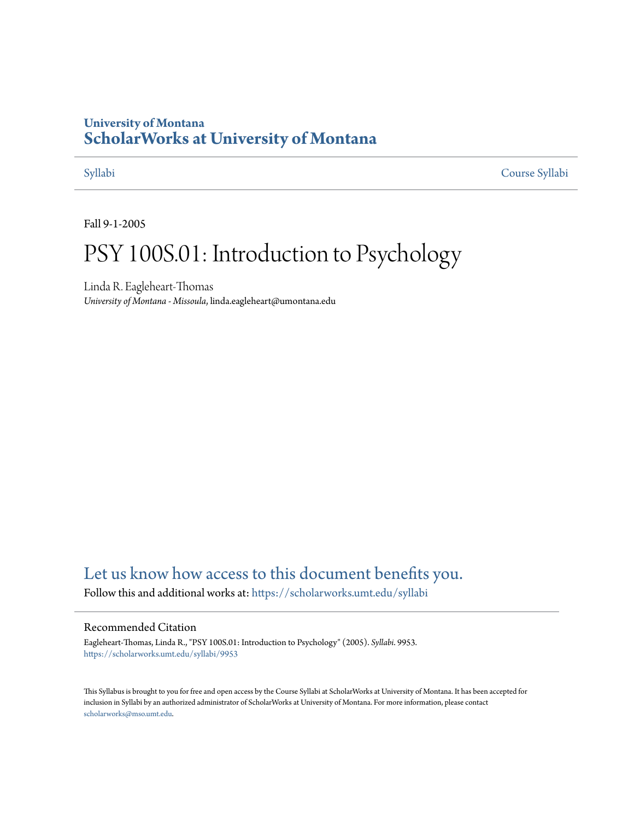# **University of Montana [ScholarWorks at University of Montana](https://scholarworks.umt.edu?utm_source=scholarworks.umt.edu%2Fsyllabi%2F9953&utm_medium=PDF&utm_campaign=PDFCoverPages)**

[Syllabi](https://scholarworks.umt.edu/syllabi?utm_source=scholarworks.umt.edu%2Fsyllabi%2F9953&utm_medium=PDF&utm_campaign=PDFCoverPages) [Course Syllabi](https://scholarworks.umt.edu/course_syllabi?utm_source=scholarworks.umt.edu%2Fsyllabi%2F9953&utm_medium=PDF&utm_campaign=PDFCoverPages)

Fall 9-1-2005

# PSY 100S.01: Introduction to Psychology

Linda R. Eagleheart-Thomas *University of Montana - Missoula*, linda.eagleheart@umontana.edu

# [Let us know how access to this document benefits you.](https://goo.gl/forms/s2rGfXOLzz71qgsB2)

Follow this and additional works at: [https://scholarworks.umt.edu/syllabi](https://scholarworks.umt.edu/syllabi?utm_source=scholarworks.umt.edu%2Fsyllabi%2F9953&utm_medium=PDF&utm_campaign=PDFCoverPages)

#### Recommended Citation

Eagleheart-Thomas, Linda R., "PSY 100S.01: Introduction to Psychology" (2005). *Syllabi*. 9953. [https://scholarworks.umt.edu/syllabi/9953](https://scholarworks.umt.edu/syllabi/9953?utm_source=scholarworks.umt.edu%2Fsyllabi%2F9953&utm_medium=PDF&utm_campaign=PDFCoverPages)

This Syllabus is brought to you for free and open access by the Course Syllabi at ScholarWorks at University of Montana. It has been accepted for inclusion in Syllabi by an authorized administrator of ScholarWorks at University of Montana. For more information, please contact [scholarworks@mso.umt.edu](mailto:scholarworks@mso.umt.edu).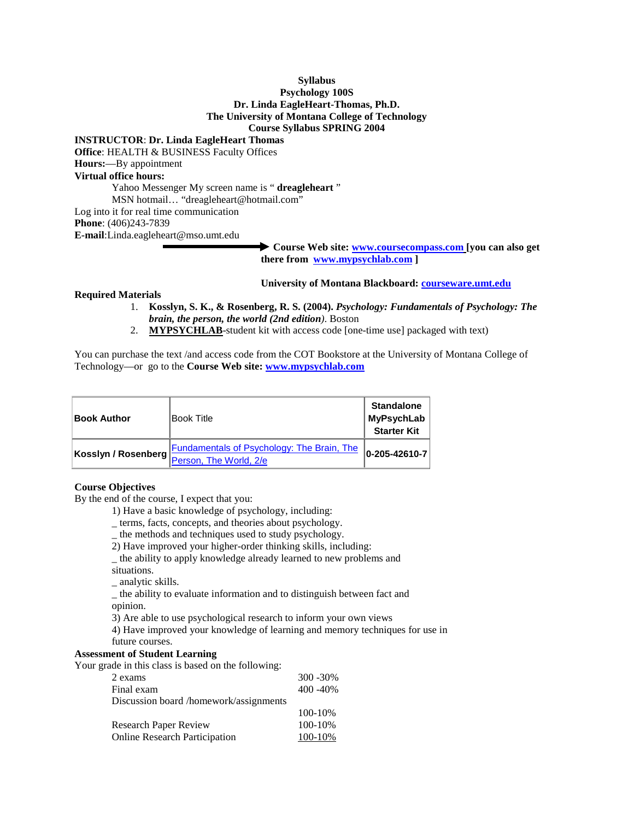#### **Syllabus Psychology 100S**

#### **Dr. Linda EagleHeart-Thomas, Ph.D. The University of Montana College of Technology Course Syllabus SPRING 2004**

#### **INSTRUCTOR**: **Dr. Linda EagleHeart Thomas**

**Office**: HEALTH & BUSINESS Faculty Offices **Hours:**—By appointment

### **Virtual office hours:**

Yahoo Messenger My screen name is " **dreagleheart** " MSN hotmail… "dreagleheart@hotmail.com" Log into it for real time communication **Phone**: (406)243-7839

**E-mail**:Linda.eagleheart@mso.umt.edu

**Course Web site: [www.coursecompass.com](http://www.coursecompass.com/) [you can also get there from [www.mypsychlab.com \]](http://www.mypsychlab.com/)** 

#### **University of Montana Blackboard: courseware.umt.edu**

#### **Required Materials**

- 1. **Kosslyn, S. K., & Rosenberg, R. S. (2004).** *Psychology: Fundamentals of Psychology: The brain, the person, the world (2nd edition)*. Boston
- 2. **MYPSYCHLAB**-student kit with access code [one-time use] packaged with text)

You can purchase the text /and access code from the COT Bookstore at the University of Montana College of Technology—or go to the **Course Web site: [www.mypsychlab.com](http://www.mypsychlab.com/)**

| <b>Book Author</b>  | lBook Title                                                                 | <b>Standalone</b><br>MyPsychLab<br><b>Starter Kit</b> |
|---------------------|-----------------------------------------------------------------------------|-------------------------------------------------------|
| Kosslyn / Rosenberg | <b>Fundamentals of Psychology: The Brain, The</b><br>Person, The World, 2/e | $ 0 - 205 - 42610 - 7 $                               |

#### **Course Objectives**

By the end of the course, I expect that you:

- 1) Have a basic knowledge of psychology, including:
- \_ terms, facts, concepts, and theories about psychology.
- \_ the methods and techniques used to study psychology.
- 2) Have improved your higher-order thinking skills, including:
- \_ the ability to apply knowledge already learned to new problems and situations.
- \_ analytic skills.

\_ the ability to evaluate information and to distinguish between fact and opinion.

3) Are able to use psychological research to inform your own views

4) Have improved your knowledge of learning and memory techniques for use in future courses.

#### **Assessment of Student Learning**

Your grade in this class is based on the following:

| 2 exams                                | $300 - 30\%$ |
|----------------------------------------|--------------|
| Final exam                             | $400 - 40%$  |
| Discussion board /homework/assignments |              |
|                                        | 100-10%      |
| <b>Research Paper Review</b>           | 100-10%      |
| <b>Online Research Participation</b>   | 100-10%      |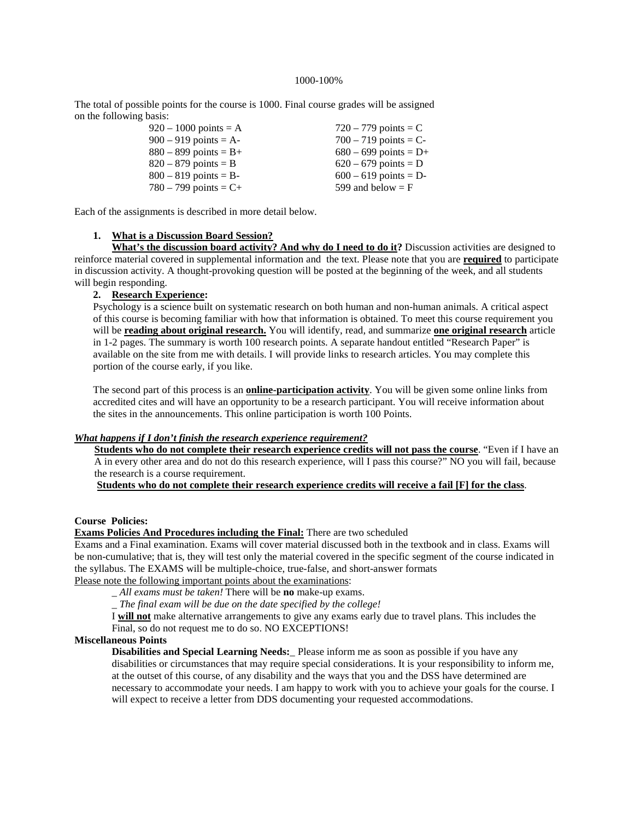#### 1000-100%

The total of possible points for the course is 1000. Final course grades will be assigned on the following basis:

| $920 - 1000$ points = A | $720 - 779$ points = C  |
|-------------------------|-------------------------|
| $900 - 919$ points = A- | $700 - 719$ points = C- |
| $880 - 899$ points = B+ | $680 - 699$ points = D+ |
| $820 - 879$ points = B  | $620 - 679$ points = D  |
| $800 - 819$ points = B- | $600 - 619$ points = D- |
| $780 - 799$ points = C+ | 599 and below $=$ F     |
|                         |                         |

Each of the assignments is described in more detail below.

#### **1. What is a Discussion Board Session?**

What's the discussion board activity? And why do I need to do it? Discussion activities are designed to reinforce material covered in supplemental information and the text. Please note that you are **required** to participate in discussion activity. A thought-provoking question will be posted at the beginning of the week, and all students will begin responding.

#### **2. Research Experience:**

Psychology is a science built on systematic research on both human and non-human animals. A critical aspect of this course is becoming familiar with how that information is obtained. To meet this course requirement you will be **reading about original research.** You will identify, read, and summarize **one original research** article in 1-2 pages. The summary is worth 100 research points. A separate handout entitled "Research Paper" is available on the site from me with details. I will provide links to research articles. You may complete this portion of the course early, if you like.

The second part of this process is an **online-participation activity**. You will be given some online links from accredited cites and will have an opportunity to be a research participant. You will receive information about the sites in the announcements. This online participation is worth 100 Points.

#### *What happens if I don't finish the research experience requirement?*

**Students who do not complete their research experience credits will not pass the course**. "Even if I have an A in every other area and do not do this research experience, will I pass this course?" NO you will fail, because the research is a course requirement.

**Students who do not complete their research experience credits will receive a fail [F] for the class**.

#### **Course Policies:**

#### **Exams Policies And Procedures including the Final:** There are two scheduled

Exams and a Final examination. Exams will cover material discussed both in the textbook and in class. Exams will be non-cumulative; that is, they will test only the material covered in the specific segment of the course indicated in the syllabus. The EXAMS will be multiple-choice, true-false, and short-answer formats

Please note the following important points about the examinations:

\_ *All exams must be taken!* There will be **no** make-up exams.

\_ *The final exam will be due on the date specified by the college!* 

I **will not** make alternative arrangements to give any exams early due to travel plans. This includes the Final, so do not request me to do so. NO EXCEPTIONS!

#### **Miscellaneous Points**

**Disabilities and Special Learning Needs:**\_ Please inform me as soon as possible if you have any disabilities or circumstances that may require special considerations. It is your responsibility to inform me, at the outset of this course, of any disability and the ways that you and the DSS have determined are necessary to accommodate your needs. I am happy to work with you to achieve your goals for the course. I will expect to receive a letter from DDS documenting your requested accommodations.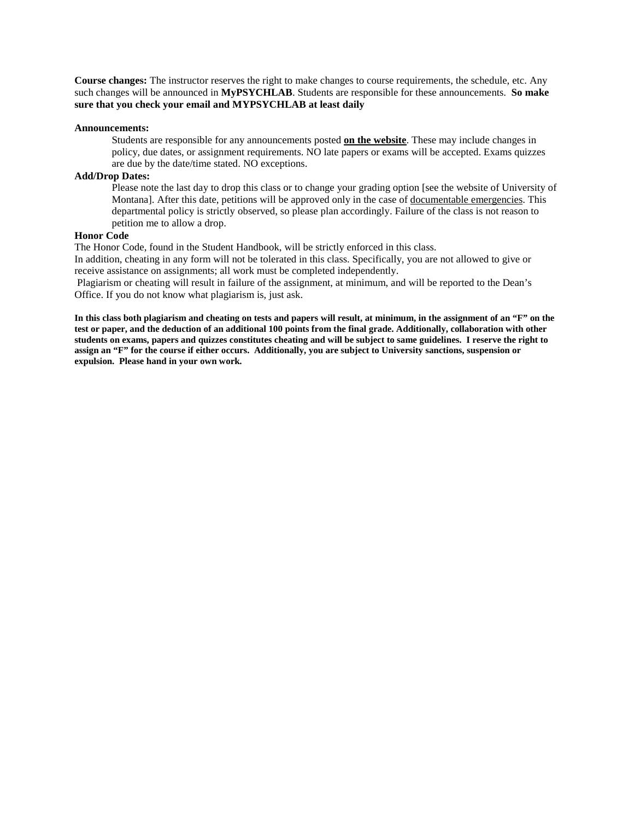**Course changes:** The instructor reserves the right to make changes to course requirements, the schedule, etc. Any such changes will be announced in **MyPSYCHLAB**. Students are responsible for these announcements. **So make sure that you check your email and MYPSYCHLAB at least daily**

#### **Announcements:**

Students are responsible for any announcements posted **on the website**. These may include changes in policy, due dates, or assignment requirements. NO late papers or exams will be accepted. Exams quizzes are due by the date/time stated. NO exceptions.

#### **Add/Drop Dates:**

Please note the last day to drop this class or to change your grading option [see the website of University of Montana]. After this date, petitions will be approved only in the case of documentable emergencies. This departmental policy is strictly observed, so please plan accordingly. Failure of the class is not reason to petition me to allow a drop.

#### **Honor Code**

The Honor Code, found in the Student Handbook, will be strictly enforced in this class.

In addition, cheating in any form will not be tolerated in this class. Specifically, you are not allowed to give or receive assistance on assignments; all work must be completed independently.

Plagiarism or cheating will result in failure of the assignment, at minimum, and will be reported to the Dean's Office. If you do not know what plagiarism is, just ask.

**In this class both plagiarism and cheating on tests and papers will result, at minimum, in the assignment of an "F" on the test or paper, and the deduction of an additional 100 points from the final grade. Additionally, collaboration with other students on exams, papers and quizzes constitutes cheating and will be subject to same guidelines. I reserve the right to assign an "F" for the course if either occurs. Additionally, you are subject to University sanctions, suspension or expulsion. Please hand in your own work.**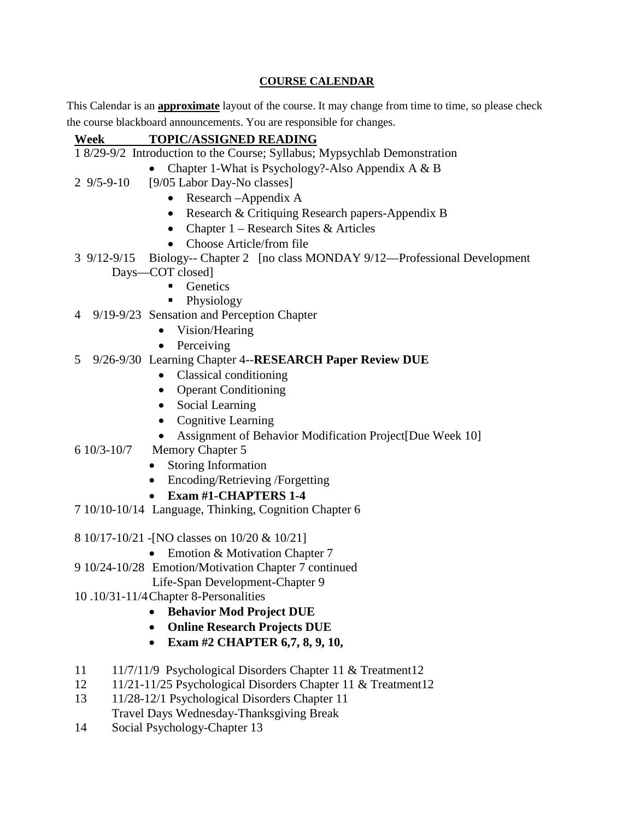## **COURSE CALENDAR**

This Calendar is an **approximate** layout of the course. It may change from time to time, so please check the course blackboard announcements. You are responsible for changes.

| Week                           | <b>TOPIC/ASSIGNED READING</b>                                             |
|--------------------------------|---------------------------------------------------------------------------|
|                                | 1 8/29-9/2 Introduction to the Course; Syllabus; Mypsychlab Demonstration |
|                                | Chapter 1-What is Psychology?-Also Appendix A & B                         |
| $29/5 - 9 - 10$                | [9/05 Labor Day-No classes]                                               |
|                                | Research - Appendix A<br>$\bullet$                                        |
|                                | Research & Critiquing Research papers-Appendix B<br>$\bullet$             |
|                                | Chapter $1$ – Research Sites & Articles<br>$\bullet$                      |
|                                | Choose Article/from file                                                  |
| $3\frac{9}{12} - \frac{9}{15}$ | Biology-- Chapter 2 [no class MONDAY 9/12—Professional Development        |
|                                | Days-COT closed]                                                          |
|                                | Genetics                                                                  |
|                                | Physiology                                                                |
|                                | 4 9/19-9/23 Sensation and Perception Chapter                              |
|                                | Vision/Hearing                                                            |
|                                | Perceiving<br>$\bullet$                                                   |
| 5                              | 9/26-9/30 Learning Chapter 4--RESEARCH Paper Review DUE                   |
|                                | Classical conditioning                                                    |
|                                | <b>Operant Conditioning</b><br>$\bullet$                                  |
|                                | • Social Learning                                                         |
|                                | <b>Cognitive Learning</b><br>$\bullet$                                    |
|                                | Assignment of Behavior Modification Project[Due Week 10]                  |
| 6 10/3-10/7                    | Memory Chapter 5                                                          |
|                                | Storing Information                                                       |
|                                | Encoding/Retrieving /Forgetting                                           |
|                                | <b>Exam #1-CHAPTERS 1-4</b>                                               |
|                                | 7 10/10-10/14 Language, Thinking, Cognition Chapter 6                     |
|                                | 8 10/17-10/21 - [NO classes on 10/20 & 10/21]                             |
|                                | Emotion & Motivation Chapter 7                                            |
|                                | 9 10/24-10/28 Emotion/Motivation Chapter 7 continued                      |
|                                | Life-Span Development-Chapter 9                                           |
|                                | 10.10/31-11/4 Chapter 8-Personalities                                     |
|                                | <b>Behavior Mod Project DUE</b>                                           |
|                                | <b>Online Research Projects DUE</b><br>$\bullet$                          |
|                                | Exam #2 CHAPTER 6,7, 8, 9, 10,<br>$\bullet$                               |
| 11                             | 11/7/11/9 Psychological Disorders Chapter 11 & Treatment12                |
| 12                             | 11/21-11/25 Psychological Disorders Chapter 11 & Treatment12              |
| 13                             | 11/28-12/1 Psychological Disorders Chapter 11                             |
|                                | Travel Days Wednesday-Thanksgiving Break                                  |

14 Social Psychology-Chapter 13